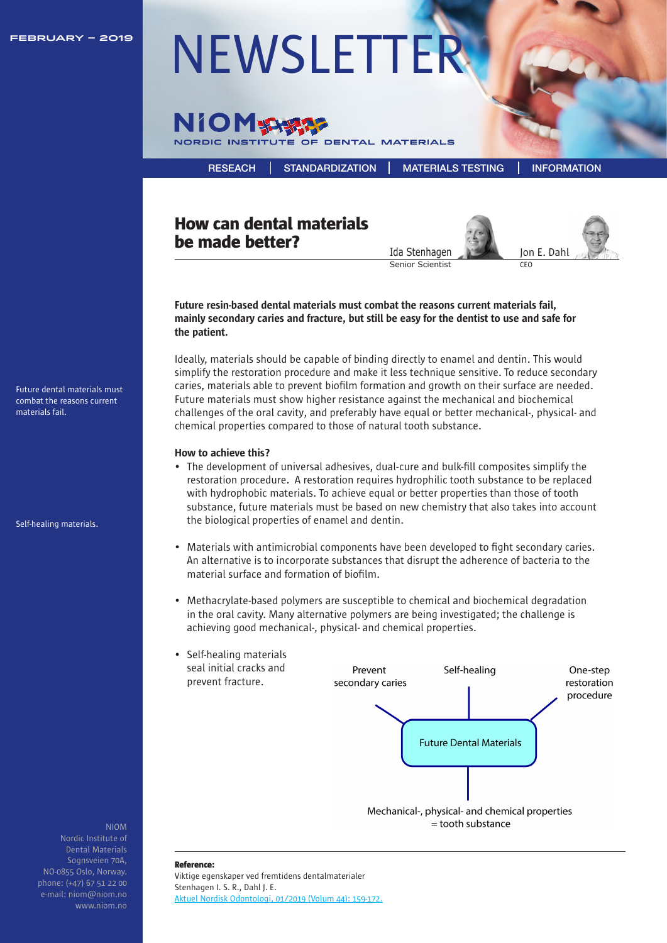

# FEBRUARY – 2019 NEWSLETTE



[RESEACH](https://niom.no/research/) [STANDARDIZATION](https://niom.no/standardization/) [MATERIALS TESTING](https://niom.no/materials-testing/) [INFORMATION](https://niom.no/information/)

## How can dental materials be made better?





Future resin-based dental materials must combat the reasons current materials fail, mainly secondary caries and fracture, but still be easy for the dentist to use and safe for the patient.

Ideally, materials should be capable of binding directly to enamel and dentin. This would simplify the restoration procedure and make it less technique sensitive. To reduce secondary caries, materials able to prevent biofilm formation and growth on their surface are needed. Future materials must show higher resistance against the mechanical and biochemical challenges of the oral cavity, and preferably have equal or better mechanical-, physical- and chemical properties compared to those of natural tooth substance.

#### How to achieve this?

- The development of universal adhesives, dual-cure and bulk-fill composites simplify the restoration procedure. A restoration requires hydrophilic tooth substance to be replaced with hydrophobic materials. To achieve equal or better properties than those of tooth substance, future materials must be based on new chemistry that also takes into account the biological properties of enamel and dentin.
- Materials with antimicrobial components have been developed to fight secondary caries. An alternative is to incorporate substances that disrupt the adherence of bacteria to the material surface and formation of biofilm.
- Methacrylate-based polymers are susceptible to chemical and biochemical degradation in the oral cavity. Many alternative polymers are being investigated; the challenge is achieving good mechanical-, physical- and chemical properties.



Dental Materials Sognsveien 70A, NO-0855 Oslo, Norway. [phone: \(+47\) 67 51 22 00](https://niom.no/)  e-mail: niom@niom.no www.niom.no

NIOM

Reference:

Viktige egenskaper ved fremtidens dentalmaterialer Stenhagen I. S. R., Dahl J. E. Aktuel Nordisk Odontologi, 01/2019 (Volum 44): 159-172.

Future dental materials must combat the reasons current materials fail.

Self-healing materials.